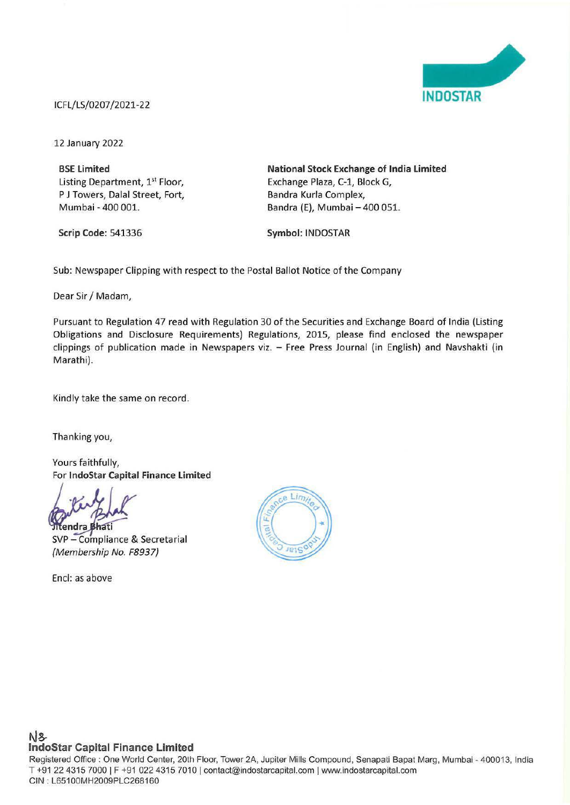

# ICFL/LS/0207 /2021-22

12 January 2022

**BSE Limited**  Listing Department, 1<sup>st</sup> Floor, P J Towers, Dalal Street, Fort, Mumbai - 400 001.

**Scrip Code:** 541336

**National Stock Exchange of India limited**  Exchange Plaza, C-1, Block G, Bandra Kurla Complex, Bandra (E), Mumbai - 400 051.

**Symbol:** INDOSTAR

Sub: Newspaper Clipping with respect to the Postal Ballot Notice of the Company

Dear Sir/ Madam,

Pursuant to Regulation 47 read with Regulation 30 of the Securities and Exchange Board of India (Listing Obligations and Disclosure Requirements) Regulations, 2015, please find enclosed the newspaper clippings of publication made in Newspapers viz. - Free Press Journal (in English) and Navshakti (in Marathi).

Kindly take the same on record.

Thanking you,

Yours faithfully, For **lndoStar Capital Finance limited** 

**Itendra Bhati** SVP- Compliance & Secretarial {Membership No. F8937)

Encl: as above



Registered Office : One World Center, 20th Floor, Tower 2A, Jupiter Mills Compound, Senapati Bapat Marg, Mumbai - 400013, India T +91 22 4315 7000 | F +91 022 4315 7010 | contact@indostarcapital.com | www.indostarcapital.com GIN : L651 00MH2009PLC268160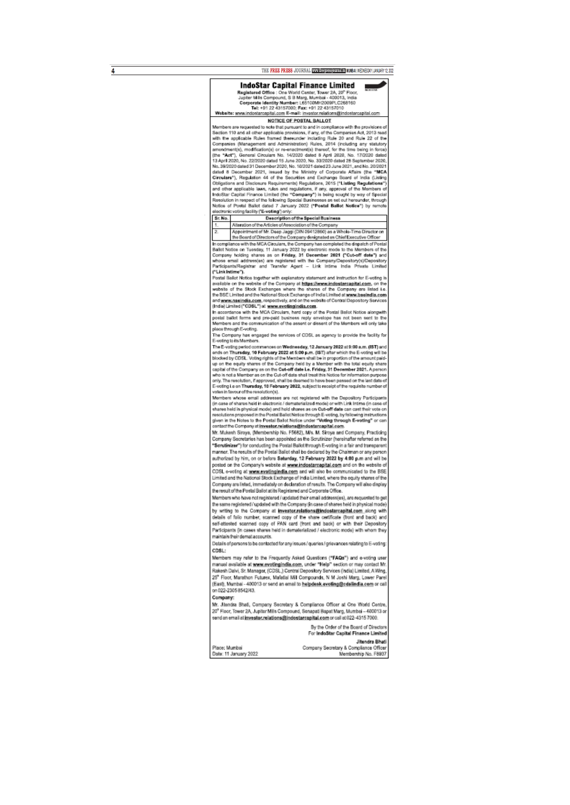THE FREE PRESS JOURNAL WWW.freepressjournalin MUMBAI | WEDNESDAY | JANUARY 12, 2022

٠

### **IndoStar Capital Finance Limited**

**Exploration of Construction Construct Construct Construction (September 20, 20° Floor, Jupiter Mils Compound, S.B.Marg, Mumber 1.051013, India<br>Composed identity Mumber: L65100MH2009PLC268160<br>Tel: +91.22 43157000; Fax: +91** 

 $\overline{4}$ 

NOTICE OF POSTAL BALLOT

Members are requested to note that pursuant to and in compliance with the provisions or Section 110 and all other applicable provisions, theny, of the Companies Act, 2013 mad<br>Section 110 and all other applicable provisions, if any, of the Companies Act, 2013 mad<br>Companies (Management and Administration) Rules Section 110 and all other applicable provisions, if any, of the Companies Act, 2013 read

### Description of the Special Business<br>Articles of Association of the Company Sr. No.

Alteration of the Articl Appointment of Mr. Deep Jaggi (DIN 09412860) as a Whole-Time Director on  $\overline{2}$ 

2. Appenennent of Mr. Deep Jaggs (UNI ose 12860) as a Whole-Tree Dreader on the Beard of Directors of the Company designated as Chief Executive Officer<br>In compliance with the MCA Circulars, the Company designated as Chief ("Link Intime").

.<br>Postal Ballot Notice together with explanatory statement and instruction for E-voting is From the control of the Company at https://www.indexistence.html or coverage and statistic of the Company at https://www.indexistence.html or the share of the Company and later than the share of the Company and later the B

(India) Limited ("CDSL") at www.evettingindia.com.<br>In accordance with the MCA Circulars, hard copy of the Postal Ballot Notice alongwith postal ballot forms and pre-paid business reply envelope has not been sent to the<br>Members and the communication of the assent or dissent of the Members will only take place through E-voting

press enough that engaged the services of CDSL as agency to provide the facility for<br>E-voting to its Members.

The E-voting period commences on Wednesday, 12 January 2022 at 9:00 a.m. (IST) and<br>onds on Thursday, 10 February 2022 at 5:00 p.m. (IST) after which the E-voting will be ense on immenaux, 10 resemany 2022 at boxo p.m. (in) just members the best by CDSL. Welfrightly the Members shall be in proportion of the amount gaid-<br>up on the equity shares of the Company held by a Member with the Istal votes in favour of the resolution(s).

**Therefore whose email addresses are not registered with the Depository Participants<br>(in case of whose email addresses are not registered with the Depository Participants<br>(in case of whates held in electronic/demandmated m** 

Mr. Mukesh Siroya, (Membership No. F5682), Mls. M. Siroya and Company, Practicing Company Secretaries has been appointed as the Scruthizer (hereinafter referred as the<br>"Scrutinizer") for conducting the Postal Ballot through E-voting in a fair end transparent manner. The results of the Postal Ballot shall be declared by the Chairman or any person aufhorized by him, on or before Saturday, 12 February 2022 by 4:00 p.m and will be posted on the Company's website at www.indostarcapital.com and on the website of CDSL e-voling at www.evotingindia.com and will also be communicated to the BSE<br>Limited and the National Stock Exchange of India Limited, where the equity shares of the Company are listed, immediately on declaration of results. The Company will also display he result of the Postal Ballot at its Registered and Corporate Office.

Members who have not registered / updated their email address(es), are requested to get the same registered / updated with the Company (in case of shares held in physical mode) by writing to the Company at investor-relations@indestarcapital.com along with details of folio number, scanned copy of the share certificate (front and back) and<br>self-attested scanned copy of PAN card (front and back) or with their Depository Participants (in cases shares held in dematerialized / electronic mode) with whom they maintain their demat accounts.

Details of persons to be contacted for any issues / gueries / grievances relating to E-voting CDSL:

manual available at www.evotingindia.com, under "Help" section or may contact Mr Rakesh Dalvi, Sr. Manager, (CDSL,) Central Depository Services (India) Limited, A Wing,<br>25\* Floor, Marathon Futures, Mafatlal Mill Compounds, N M Joshi Marg, Lower Parel (East), Mumbai - 400013 or send an email to helpdesk evoting@cdslindia.com or call on 022-2305 8542/43.

#### Company.

Place: Mumbai Date: 11 January 2022

Mr. Jilendra Bhali, Company Secretary & Compliance Officer at One World Centre 20" Floor, Tower 2A, Jupiter Mills Compound, Senapati Bapat Marg, Mumbai - 400013 or send an email at investor, relations@indostarcapital.com or call at 022-4315 7000.

> By the Order of the Board of Directo For IndoStar Capital Finance Limited Jitendra Bhati

Company Secretary & Compliance Officer<br>Membership No. F8837